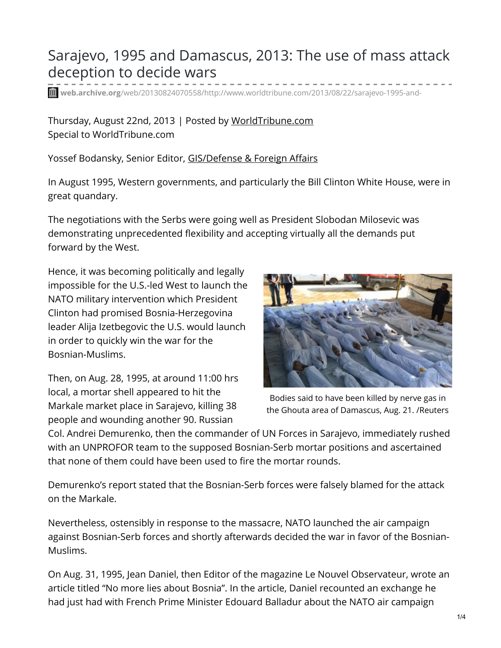## Sarajevo, 1995 and Damascus, 2013: The use of mass attack deception to decide wars

**web.archive.org**[/web/20130824070558/http://www.worldtribune.com/2013/08/22/sarajevo-1995-and-](https://web.archive.org/web/20130824070558/http://www.worldtribune.com/2013/08/22/sarajevo-1995-and-damascus-2013-the-use-of-mass-attack-deception-to-decide-wars/)

Thursday, August 22nd, 2013 | Posted by [WorldTribune.com](https://web.archive.org/web/20130824070558/http://www.worldtribune.com/author/admin/) Special to WorldTribune.com

Yossef Bodansky, Senior Editor, [GIS/Defense](https://web.archive.org/web/20130824070558/http://www.worldtribune.com/?s=bodansky&x=14&y=8) & Foreign Affairs

In August 1995, Western governments, and particularly the Bill Clinton White House, were in great quandary.

The negotiations with the Serbs were going well as President Slobodan Milosevic was demonstrating unprecedented flexibility and accepting virtually all the demands put forward by the West.

Hence, it was becoming politically and legally impossible for the U.S.-led West to launch the NATO military intervention which President Clinton had promised Bosnia-Herzegovina leader Alija Izetbegovic the U.S. would launch in order to quickly win the war for the Bosnian-Muslims.

Then, on Aug. 28, 1995, at around 11:00 hrs local, a mortar shell appeared to hit the Markale market place in Sarajevo, killing 38 people and wounding another 90. Russian



Bodies said to have been killed by nerve gas in the Ghouta area of Damascus, Aug. 21. /Reuters

Col. Andrei Demurenko, then the commander of UN Forces in Sarajevo, immediately rushed with an UNPROFOR team to the supposed Bosnian-Serb mortar positions and ascertained that none of them could have been used to fire the mortar rounds.

Demurenko's report stated that the Bosnian-Serb forces were falsely blamed for the attack on the Markale.

Nevertheless, ostensibly in response to the massacre, NATO launched the air campaign against Bosnian-Serb forces and shortly afterwards decided the war in favor of the Bosnian-Muslims.

On Aug. 31, 1995, Jean Daniel, then Editor of the magazine Le Nouvel Observateur, wrote an article titled "No more lies about Bosnia". In the article, Daniel recounted an exchange he had just had with French Prime Minister Edouard Balladur about the NATO air campaign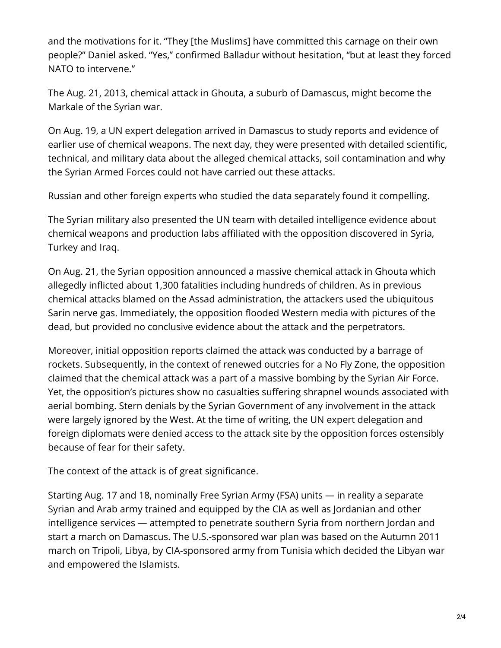and the motivations for it. "They [the Muslims] have committed this carnage on their own people?" Daniel asked. "Yes," confirmed Balladur without hesitation, "but at least they forced NATO to intervene."

The Aug. 21, 2013, chemical attack in Ghouta, a suburb of Damascus, might become the Markale of the Syrian war.

On Aug. 19, a UN expert delegation arrived in Damascus to study reports and evidence of earlier use of chemical weapons. The next day, they were presented with detailed scientific, technical, and military data about the alleged chemical attacks, soil contamination and why the Syrian Armed Forces could not have carried out these attacks.

Russian and other foreign experts who studied the data separately found it compelling.

The Syrian military also presented the UN team with detailed intelligence evidence about chemical weapons and production labs affiliated with the opposition discovered in Syria, Turkey and Iraq.

On Aug. 21, the Syrian opposition announced a massive chemical attack in Ghouta which allegedly inflicted about 1,300 fatalities including hundreds of children. As in previous chemical attacks blamed on the Assad administration, the attackers used the ubiquitous Sarin nerve gas. Immediately, the opposition flooded Western media with pictures of the dead, but provided no conclusive evidence about the attack and the perpetrators.

Moreover, initial opposition reports claimed the attack was conducted by a barrage of rockets. Subsequently, in the context of renewed outcries for a No Fly Zone, the opposition claimed that the chemical attack was a part of a massive bombing by the Syrian Air Force. Yet, the opposition's pictures show no casualties suffering shrapnel wounds associated with aerial bombing. Stern denials by the Syrian Government of any involvement in the attack were largely ignored by the West. At the time of writing, the UN expert delegation and foreign diplomats were denied access to the attack site by the opposition forces ostensibly because of fear for their safety.

The context of the attack is of great significance.

Starting Aug. 17 and 18, nominally Free Syrian Army (FSA) units — in reality a separate Syrian and Arab army trained and equipped by the CIA as well as Jordanian and other intelligence services — attempted to penetrate southern Syria from northern Jordan and start a march on Damascus. The U.S.-sponsored war plan was based on the Autumn 2011 march on Tripoli, Libya, by CIA-sponsored army from Tunisia which decided the Libyan war and empowered the Islamists.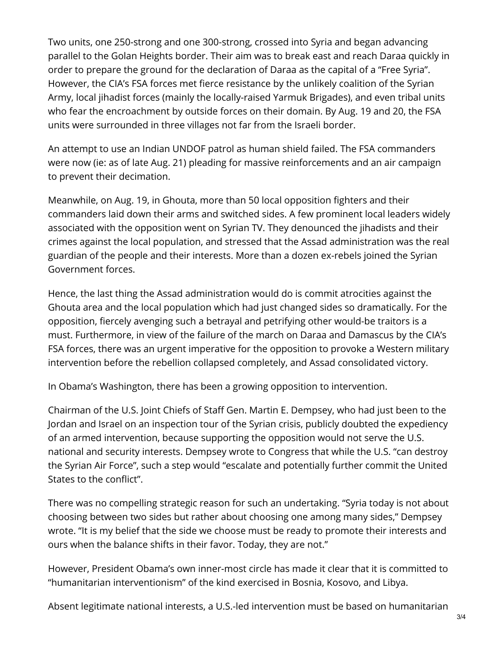Two units, one 250-strong and one 300-strong, crossed into Syria and began advancing parallel to the Golan Heights border. Their aim was to break east and reach Daraa quickly in order to prepare the ground for the declaration of Daraa as the capital of a "Free Syria". However, the CIA's FSA forces met fierce resistance by the unlikely coalition of the Syrian Army, local jihadist forces (mainly the locally-raised Yarmuk Brigades), and even tribal units who fear the encroachment by outside forces on their domain. By Aug. 19 and 20, the FSA units were surrounded in three villages not far from the Israeli border.

An attempt to use an Indian UNDOF patrol as human shield failed. The FSA commanders were now (ie: as of late Aug. 21) pleading for massive reinforcements and an air campaign to prevent their decimation.

Meanwhile, on Aug. 19, in Ghouta, more than 50 local opposition fighters and their commanders laid down their arms and switched sides. A few prominent local leaders widely associated with the opposition went on Syrian TV. They denounced the jihadists and their crimes against the local population, and stressed that the Assad administration was the real guardian of the people and their interests. More than a dozen ex-rebels joined the Syrian Government forces.

Hence, the last thing the Assad administration would do is commit atrocities against the Ghouta area and the local population which had just changed sides so dramatically. For the opposition, fiercely avenging such a betrayal and petrifying other would-be traitors is a must. Furthermore, in view of the failure of the march on Daraa and Damascus by the CIA's FSA forces, there was an urgent imperative for the opposition to provoke a Western military intervention before the rebellion collapsed completely, and Assad consolidated victory.

In Obama's Washington, there has been a growing opposition to intervention.

Chairman of the U.S. Joint Chiefs of Staff Gen. Martin E. Dempsey, who had just been to the Jordan and Israel on an inspection tour of the Syrian crisis, publicly doubted the expediency of an armed intervention, because supporting the opposition would not serve the U.S. national and security interests. Dempsey wrote to Congress that while the U.S. "can destroy the Syrian Air Force", such a step would "escalate and potentially further commit the United States to the conflict".

There was no compelling strategic reason for such an undertaking. "Syria today is not about choosing between two sides but rather about choosing one among many sides," Dempsey wrote. "It is my belief that the side we choose must be ready to promote their interests and ours when the balance shifts in their favor. Today, they are not."

However, President Obama's own inner-most circle has made it clear that it is committed to "humanitarian interventionism" of the kind exercised in Bosnia, Kosovo, and Libya.

Absent legitimate national interests, a U.S.-led intervention must be based on humanitarian